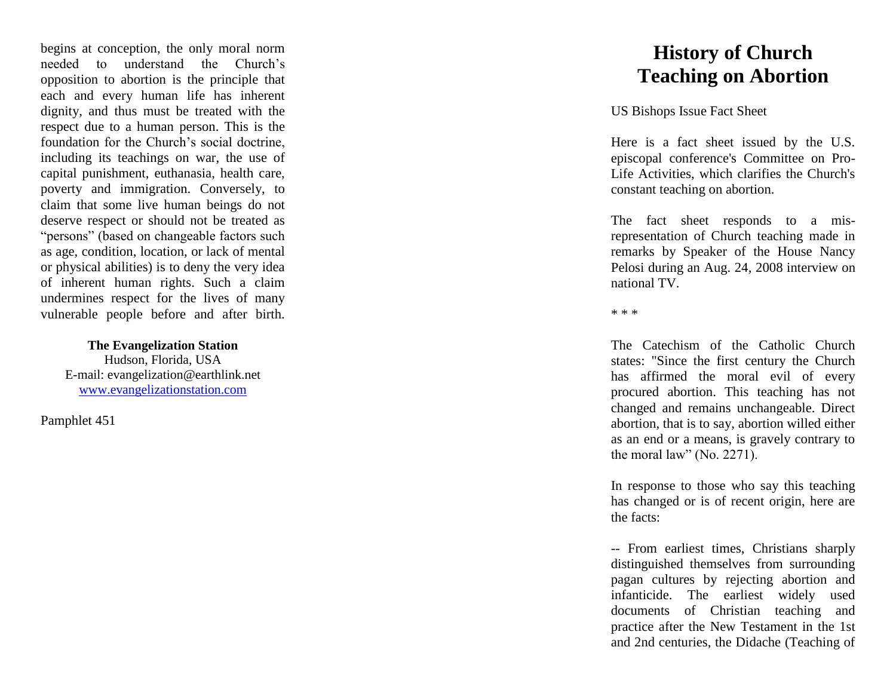begins at conception, the only moral norm needed to understand the Church's opposition to abortion is the principle that each and every human life has inherent dignity, and thus must be treated with the respect due to a human person. This is the foundation for the Church's social doctrine, including its teachings on war, the use of capital punishment, euthanasia, health care, poverty and immigration. Conversely, to claim that some live human beings do not deserve respect or should not be treated as "persons" (based on changeable factors such as age, condition, location, or lack of mental or physical abilities) is to deny the very idea of inherent human rights. Such a claim undermines respect for the lives of many vulnerable people before and after birth.

**The Evangelization Station**

Hudson, Florida, USA E -mail: evangelization@earthlink.net [www.evangelizationstation.com](http://www.pjpiisoe.org/)

Pamphlet 451

## **History of Church Teaching on Abortion**

US Bishops Issue Fact Sheet

Here is a fact sheet issued by the U.S. episcopal conference's Committee on Pro - Life Activities, which clarifies the Church's constant teaching on abortion.

The fact sheet responds to a mis representation of Church teaching made in remarks by Speaker of the House Nancy Pelosi during an Aug. 24, 2008 interview on national TV.

\* \* \*

The Catechism of the Catholic Church states: "Since the first century the Church has affirmed the moral evil of every procured abortion. This teaching has not changed and remains unchangeable. Direct abortion, that is to say, abortion willed either as an end or a means, is gravely contrary to the moral law" (No. 2271).

In response to those who say this teaching has changed or is of recent origin, here are the facts:

-- From earliest times, Christians sharply distinguished themselves from surrounding pagan cultures by rejecting abortion and infanticide. The earliest widely used documents of Christian teaching and practice after the New Testament in the 1st and 2nd centuries, the Didache (Teaching of